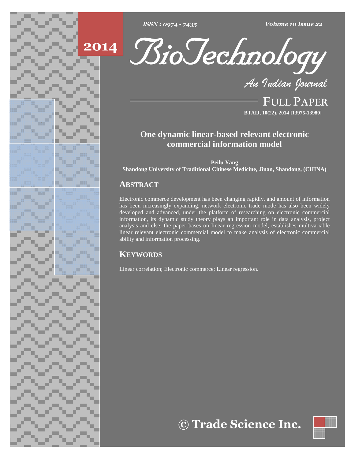





**FULL PAPER BTAIJ, 10(22), 2014 [13975-13980]**

# **One dynamic linear-based relevant electronic commercial information model**

**Peilu Yang**

**Shandong University of Traditional Chinese Medicine, Jinan, Shandong, (CHINA)**

# **ABSTRACT**

Electronic commerce development has been changing rapidly, and amount of information has been increasingly expanding, network electronic trade mode has also been widely developed and advanced, under the platform of researching on electronic commercial information, its dynamic study theory plays an important role in data analysis, project analysis and else, the paper bases on linear regression model, establishes multivariable linear relevant electronic commercial model to make analysis of electronic commercial ability and information processing.

# **KEYWORDS**

Linear correlation; Electronic commerce; Linear regression.

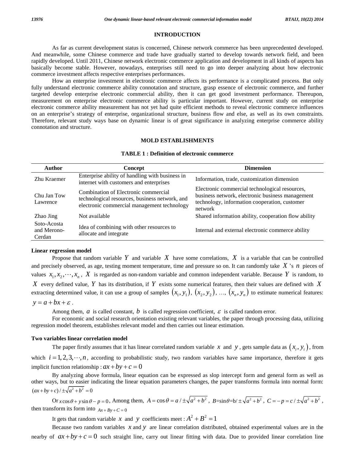# **INTRODUCTION**

As far as current development status is concerned, Chinese network commerce has been unprecedented developed. And meanwhile, some Chinese commerce and trade have gradually started to develop towards network field, and been rapidly developed. Until 2011, Chinese network electronic commerce application and development in all kinds of aspects has basically become stable. However, nowadays, enterprises still need to go into deeper analyzing about how electronic commerce investment affects respective enterprises performances.

How an enterprise investment in electronic commerce affects its performance is a complicated process. But only fully understand electronic commerce ability connotation and structure, grasp essence of electronic commerce, and further targeted develop enterprise electronic commercial ability, then it can get good investment performance. Thereupon, measurement on enterprise electronic commerce ability is particular important. However, current study on enterprise electronic commerce ability measurement has not yet had quite efficient methods to reveal electronic commerce influences on an enterprise's strategy of enterprise, organizational structure, business flow and else, as well as its own constraints. Therefore, relevant study ways base on dynamic linear is of great significance in analyzing enterprise commerce ability connotation and structure.

## **MOLD ESTABLISHMENTS**

# **TABLE 1 : Definition of electronic commerce**

| <b>Author</b>                        | Concept                                                                                                                               | <b>Dimension</b>                                                                                                                                               |
|--------------------------------------|---------------------------------------------------------------------------------------------------------------------------------------|----------------------------------------------------------------------------------------------------------------------------------------------------------------|
| Zhu Kraemer                          | Enterprise ability of handling with business in<br>internet with customers and enterprises                                            | Information, trade, customization dimension                                                                                                                    |
| Chu Jan Tow<br>Lawrence              | Combination of Electronic commercial<br>technological resources, business network, and<br>electronic commercial management technology | Electronic commercial technological resources,<br>business network, electronic business management<br>technology, information cooperation, customer<br>network |
| Zhao Jing                            | Not available                                                                                                                         | Shared information ability, cooperation flow ability                                                                                                           |
| Soto-Acosta<br>and Merono-<br>Cerdan | Idea of combining with other resources to<br>allocate and integrate                                                                   | Internal and external electronic commerce ability                                                                                                              |

### **Linear regression model**

Propose that random variable  $Y$  and variable  $X$  have some correlations,  $X$  is a variable that can be controlled and precisely observed, as age, testing moment temperature, time and pressure so on. It can randomly take  $X$  's  $n$  pieces of values  $x_1, x_2, \dots, x_n$ , X is regarded as non-random variable and common independent variable. Because Y is random, to *X* every defined value, *Y* has its distribution, if *Y* exists some numerical features, then their values are defined with *X* values  $x_1, x_2, \dots, x_n$ , X is regarded as non-random variable and common independent variable. Because Y is random, to X every defined value, Y has its distribution, if Y exists some numerical features, then their values a *X* every defined value, *I* extracting determined value  $y = a + bx + \varepsilon$ .

Among them,  $a$  is called constant,  $b$  is called regression coefficient,  $\varepsilon$  is called random error.

For economic and social research orientation existing relevant variables, the paper through processing data, utilizing regression model theorem, establishes relevant model and then carries out linear estimation.

### **Two variables linear correlation model**

iables linear correlation model<br>The paper firstly assumes that it has linear correlated random variable *x* and *y*, gets sample data as  $(x_i, y_i)$ , from Two variables linear correlation model<br>The paper firstly assumes that it has linear correlated random variable x and y, gets sample data as  $(x_i, y_i)$ , from<br>which  $i = 1, 2, 3, \dots, n$ , according to probabilistic study, two ran which  $i = 1, 2, 3, \dots, n$ , according to probabilistic study, two random variables have same importance, therefore it gets implicit function relationship :  $ax + by + c = 0$ 

By analyzing above formula, linear equation can be expressed as slop intercept form and general form as well as other ways, but to easier indicating the linear equation parameters changes, the paper transforms formula into normal form: By analyzing above form<br>other ways, but to easier indicating<br> $(ax + by + c)/\pm\sqrt{a^2 + b^2} = 0$  $\frac{dy}{dx} + by = 0$ <br>  $\int \frac{dx}{dx} + b^2 = 0$ <br>  $\int \frac{dx}{dx} + b^2 = 0$ <br>  $\int \frac{dx}{dx} + b^2 = 0$ <br>  $\int \frac{dx}{dx} + b^2 = 0$ <br>  $\int \frac{dx}{dx} + b^2 = 0$ <br>  $\int \frac{dx}{dx} + b^2 = 0$ <br>  $\int \frac{dx}{dx} + b^2 = 0$ <br>  $\int \frac{dx}{dx} + b^2 = 0$ 

Or  $x \cos \theta + y \sin \theta - p = 0$ , Among them,  $A = \cos \theta = a / \pm \sqrt{a^2 + b^2}$ ,  $B = \sin \theta = b / \pm$ <br>then transform its form into  $Ax + By + C = 0$ <br>It gets that random variable x and y coefficients meet :  $A^2 + B^2 = 1$ 

It gets that random variable *x* and *y* coefficients meet :  $A^2 + B^2 = 1$ 

Because two random variables *x* and *y* are linear correlation distributed, obtained experimental values are in the nearby of  $ax + by + c = 0$  such straight line, carry out linear fitting with data. Due to provided linear correlation line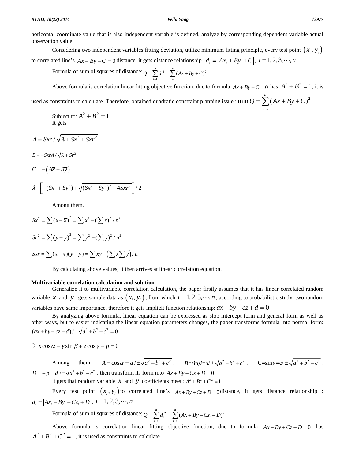horizontal coordinate value that is also independent variable is defined, analyze by corresponding dependent variable actual observation value. In coordinate value that is also independent variable is defined, analyze by corresponding dependent variable actual<br>
considering two independent variables fitting deviation, utilize minimum fitting principle, every test

to correlated line's  $Ax + By + C = 0$  distance, it gets distance relationship :  $d_i = |Ax_i + By_i + C|$ ,  $i = 1, 2, 3, \dots, n$ *i* **i** *i i i d<sub>i</sub>*  $= |Ax_i + By_i + C|$ , *i* = 1, 2, 3, *...*, *n* ts distance relationship :  $d_i =$ <br>=  $\sum_{i=1}^{n} d_i^2 = \sum_{i=1}^{n} (Ax + By + C)^2$ 

Formula of sum of squares of distance:  $Q = \sum_{i=1}^{n} d_i^2 = \sum_{i=1}^{n} (Ax + By + C)^2$  $Q = \sum_{i=1}^{n} d_i^2 = \sum_{i=1}^{n} (Ax + By + C)^2$ Formula of sum of squares of distance:  $Q = \sum_{i=1}^{n} d_i^2 = \sum_{i=1}^{n} (Ax + By + C)^2$ <br>Above formula is correlation linear fitting objective function, due to formula  $Ax + By + C = 0$  has  $A^2 + B^2 = 1$ , it is

C = 0 has  $A^2 + B^2 = 1$ , it is<br>=  $\sum_{i=1}^{n} (Ax + By + C)^2$ 

used as constraints to calculate. Therefore, obtained quadratic constraint planning issue :  $\min Q = \sum (Ax + By + C)^2$  $\min Q = \sum (Ax + By + C)^2$  $Q = \sum (Ax + By + C)^2$  $A^2 + B^2 = 1$ 

Subject to:  $A^2 + B^2 = 1$ It gets

 $A = Srr / \sqrt{2 + Sr^2 + Srr^2}$  $B = -Sx rA/\sqrt{\lambda + Sr^2}$  $B = -Sx rA / \sqrt{\lambda + Sr^2}$ <br>  $C = -(\overline{A\overline{x} + B\overline{y}})$  $(+By)$ <br>+  $Sy^2$  +  $\sqrt{(Sx^2 - Sy^2)^2 + 4Sxr^2}/2$  $(Sy^{2}) + \sqrt{(Sx^{2} - Sy^{2})^{2} + 4Sxr^{2}}$  / 2

$$
\lambda = \left[ -(Sx^2 + Sy^2) + \sqrt{(Sx^2 - Sy^2)^2 + 4Sxr^2} \right] / 2
$$

Among them,

Among them,  
\n
$$
Sx^2 = \sum (x - \overline{x})^2 = \sum x^2 - (\sum x)^2 / n^2
$$
  
\n $Sr^2 = \sum (y - \overline{y})^2 = \sum y^2 - (\sum y)^2 / n^2$   
\n $Sxr = \sum (x - \overline{x})(y - \overline{y}) = \sum xy - (\sum x \sum y) / n$ 

By calculating above values, it then arrives at linear correlation equation.

# **Multivariable correlation calculation and solution**

Generalize it to multivariable correlation calculation, the paper firstly assumes that it has linear correlated random **Multivariable correlation calculation and solution**<br>Generalize it to multivariable correlation calculation, the paper firstly assumes that it has linear correlated random<br>variable *x* and *y*, gets sample data as  $(x_i, y_i)$ Generalize it to multivariable correlation calculation, the paper firstly assumes that it has linear correlation variable *x* and *y*, gets sample data as  $(x_i, y_i)$ , from which  $i = 1, 2, 3, \dots, n$ , according to probabilistic

By analyzing above formula, linear equation can be expressed as slop intercept form and general form as well as other ways, but to easier indicating the linear equation parameters changes, the paper transforms formula into normal form: 2 By analyzing above formula, linear<br>other ways, but to easier indicating the linear<br> $(ax + by + cz + d) / \pm \sqrt{a^2 + b^2 + c^2} = 0$  $(ax + by + cz + d) / \pm \sqrt{a^2 + b^2 + c^2} = 0$ <br>Or  $x \cos \alpha + y \sin \beta + z \cos \gamma - p = 0$ 

Or 
$$
x \cos \alpha + y \sin \beta + z \cos \gamma - p = 0
$$
  
\nAmong them,  $A = \cos \alpha = a / \pm \sqrt{a^2 + b^2 + c^2}$ ,  $B = \sin \beta = b / \pm \sqrt{a^2 + b^2 + c^2}$ ,  $C = \sin \gamma = c / \pm \sqrt{a^2 + b^2 + c^2}$ ,  
\n $D = -p = d / \pm \sqrt{a^2 + b^2 + c^2}$ , then transform its form into  $Ax + By + Cz + D = 0$   
\nit gets that random variable x and y coefficients meet :  $A^2 + B^2 + C^2 = 1$ 

Every test point  $\left(x_i, y_i\right)$  to correlated line's  $Ax + By + Cz + D = 0$ <br>Every test point  $\left(x_i, y_i\right)$  to correlated line's  $Ax + By + Cz + D = 0$  distance, it gets distance relationship : *i* **i** gets that random variable *x* and *y* coefficities<br>
Every test point  $(x_i, y_i)$  to correlated 1<br>  $d_i = |Ax_i + By_i + Cz_i + D|$ ,  $i = 1, 2, 3, \dots, n$ d line s  $Ax + By + Cz + D = 0$  distance<br>=  $\sum_{i=1}^{n} d_i^2 = \sum_{i=1}^{n} (Ax + By + Cz_i + D)^2$ 

Formula of sum of squares of distance:  $Q = \sum_{i=1}^{n} d_i^2 = \sum_{i=1}^{n} (Ax + By + Cz_i + D)^2$  $Q = \sum_{i=1}^{n} d_i^2 = \sum_{i=1}^{n} (Ax + By + Cz_i + D)^2$ 

Above formula is correlation linear fitting objective function, due to formula  $Ax + By + Cz + D = 0$  has  $A^{2} + B^{2} + C^{2} = 1$ , it is used as constraints to calculate.

1

*i*

*n*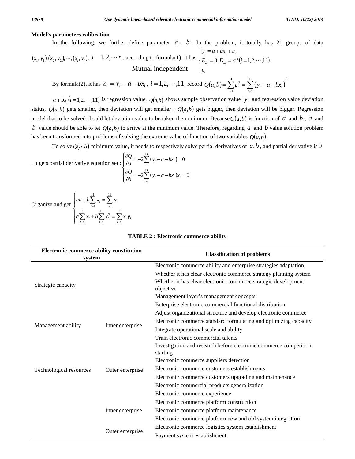### **Modelí<sup>s</sup> parameters calibration**

**Model's parameters can be determined by**\nIn the following, we further define parameter 
$$
a
$$
,  $b$ . In the problem, it totally has 21 groups of data\n
$$
(x_1, y_1)(x_2, y_2) \cdots (x_i, y_i), i = 1, 2, \cdots n
$$
\naccording to formula(1), it has\n
$$
\begin{cases}\ny_i = a + bx_i + \varepsilon_i \\
E_{\varepsilon_i} = 0, D_{\varepsilon_i} = \sigma^2 (i = 1, 2, \cdots, 11)\n\end{cases}
$$
\n
$$
\begin{cases}\ny_i = a + bx_i + \varepsilon_i \\
E_{\varepsilon_i} = 0, D_{\varepsilon_i} = \sigma^2 (i = 1, 2, \cdots, 11)\n\end{cases}
$$
\n
$$
\text{Mutual independent } \begin{cases}\ny_i = a + bx_i + \varepsilon_i \\
E_{\varepsilon_i} = 0, D_{\varepsilon_i} = \sigma^2 (i = 1, 2, \cdots, 11)\n\end{cases}
$$
\nBy formula(2), it has  $\varepsilon_i = y_i - a - bx_i$ ,  $i = 1, 2, \cdots, 11$ , record  $Q(a, b) = \sum_{i=1}^{11} \varepsilon_i^2 = \sum_{i=1}^{11} (y_i - a - bx_i)$ 

2 11 1 11 1 By formula(2), it has  $\varepsilon_i = y_i - a - bx_i$ ,  $i = 1,2,\dots,11$ , record  $Q(a,b) = \sum_{i=1} \varepsilon_i^2 = \sum_{i=1} (y_i - a - bx_i)$ <br>  $a + bx_i (i = 1,2,\dots,11)$  is regression value,  $Q(a,b)$  shows sample observation value  $y_i$  and regression value deviation

 $a+bx_i(i=1,2,\dots,11)$  is regression value,  $Q(a,b)$  shows sample observation value  $y_i$  and regression value deviation status,  $Q(a,b)$  gets smaller, then deviation will get smaller;  $Q(a,b)$  gets bigger, then deviation will be big status,  $Q(a,b)$  gets smaller, then deviation will get smaller;  $Q(a,b)$  gets bigger, then deviation will be bigger. Regression model that to be solved should let deviation value to be taken the minimum. Because  $Q(a,b)$  is fun *b* value should be able to let  $O(a, b)$  to arrive at the minimum value. Therefore, regarding *a* and *b* value solution problem b value should be able to let  $Q(a,b)$  to arrive at the minimum value. Therefore, regarding a and b value has been transformed into problems of solving the extreme value of function of two variables  $Q(a,b)$ . transformed into problems of solving the extreme value of function of two variables  $Q(a,b)$ .<br>To solve  $Q(a,b)$  minimum value, it needs to respectively solve partial derivatives of  $a,b$ , and partial derivative is 0



 $\sum_{i=1} x_i = \sum_{i=1} y_i$ <br>+  $b \sum_{i=1}^{11} x_i^2 = \sum_{i=1}^{11} x_i y_i$ 

 $a\sum x_i + b\sum x_i^2 = \sum x_i y_i$ 

11 1

 $\sum_{i=1} x_i = \sum_{i=1} y_i$ 

 $na + b\sum x_i = \sum y_i$ 

 $\sum_{i=1}^{N_i}$   $\sum_{i=1}^{N_i}$   $y_i$ 

 $\sum_{i=1}^{\infty} x_i + \sum_{i=1}^{\infty} x_i = \sum_{i=1}^{\infty} x_i y_i$ 

 $\sum_{i=1}^{11} x_i + b \sum_{i=1}^{11} x_i^2 =$ 

11 1

 $u + b \sum_{i=1}^{11} x_i = \sum_{i=1}^{11} y_i$ <br> $\sum_{i=1}^{11} x_i + b \sum_{i=1}^{11} x_i^2 = \sum_{i=1}^{11} x_i y_i$ 

 $\sum_{i=1}^{2} x_i y_i$ 

Organize and get  $\begin{bmatrix} 1 & 1 \\ 1 & 1 \end{bmatrix}$ 

 $\overline{a}$  $\sqrt{ }$ 

| Electronic commerce ability constitution |                  | <b>Classification of problems</b>                                             |  |
|------------------------------------------|------------------|-------------------------------------------------------------------------------|--|
| system                                   |                  |                                                                               |  |
|                                          |                  | Electronic commerce ability and enterprise strategies adaptation              |  |
| Strategic capacity                       |                  | Whether it has clear electronic commerce strategy planning system             |  |
|                                          |                  | Whether it has clear electronic commerce strategic development<br>objective   |  |
|                                          |                  | Management layer's management concepts                                        |  |
|                                          |                  | Enterprise electronic commercial functional distribution                      |  |
|                                          |                  | Adjust organizational structure and develop electronic commerce               |  |
|                                          | Inner enterprise | Electronic commerce standard formulating and optimizing capacity              |  |
| Management ability                       |                  | Integrate operational scale and ability                                       |  |
|                                          |                  | Train electronic commercial talents                                           |  |
|                                          |                  | Investigation and research before electronic commerce competition<br>starting |  |
|                                          | Outer enterprise | Electronic commerce suppliers detection                                       |  |
| Technological resources                  |                  | Electronic commerce customers establishments                                  |  |
|                                          |                  | Electronic commerce customers upgrading and maintenance                       |  |
|                                          |                  | Electronic commercial products generalization                                 |  |
|                                          |                  | Electronic commerce experience                                                |  |
|                                          |                  | Electronic commerce platform construction                                     |  |
|                                          | Inner enterprise | Electronic commerce platform maintenance                                      |  |
|                                          |                  | Electronic commerce platform new and old system integration                   |  |
|                                          | Outer enterprise | Electronic commerce logistics system establishment                            |  |
|                                          |                  | Payment system establishment                                                  |  |

## **TABLE 2 : Electronic commerce ability**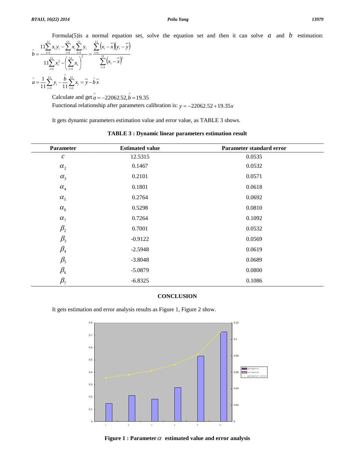Formula(5)is a normal equation set, solve the equation set and then it can solve *a* and *b* estimation:<br> $x, y = \sum_{n=0}^{11} x_n \sum_{n=0}^{11} y_n = \sum_{n=0}^{11} (x_n - \overline{x})(y_n - \overline{y})$ 

Formula(5) is a normal equation set, solve the  
\n
$$
\hat{b} = \frac{11\sum_{i=1}^{11} x_i y_i - \sum_{i=1}^{11} x_i \sum_{i=1}^{11} y_i}{11\sum_{i=1}^{11} x_i^2 - (\sum_{i=1}^{11} x_i)^2} = \frac{\sum_{i=1}^{11} (x_i - \overline{x})(y_i - \overline{y})}{\sum_{i=1}^{11} (x_i - \overline{x})^2}
$$
\n
$$
\hat{a} = \frac{1}{11} \sum_{i=1}^{11} y_i - \frac{\hat{b}}{11} \sum_{i=1}^{11} x_i = \overline{y} - \hat{b} \overline{x}
$$
\nCalculate and get  $\hat{a} = -22062.52$ ,  $\hat{b} = 19.35$ 

 $a = -22062.52, b = 19.35$ 

Functional relationship after parameters calibration is:  $y = -22062.52 + 19.35x$ 

It gets dynamic parameters estimation value and error value, as TABLE 3 shows.

| Parameter                      | <b>Estimated value</b> | Parameter standard error |
|--------------------------------|------------------------|--------------------------|
| $\boldsymbol{c}$               | 12.5315                | 0.0535                   |
| $\alpha_{2}$                   | 0.1467                 | 0.0532                   |
| $\alpha_{3}$                   | 0.2101                 | 0.0571                   |
| $\alpha_{4}$                   | 0.1801                 | 0.0618                   |
| $\alpha_{5}$                   | 0.2764                 | 0.0692                   |
| $\alpha_{6}$                   | 0.5298                 | 0.0810                   |
| $\alpha_{7}$                   | 0.7264                 | 0.1092                   |
| $\beta_{2}$                    | 0.7001                 | 0.0532                   |
| $\beta_{3}$                    | $-0.9122$              | 0.0569                   |
| $\beta_{\scriptscriptstyle 4}$ | $-2.5948$              | 0.0619                   |
| $\beta_{5}$                    | $-3.8048$              | 0.0689                   |
| $\beta_{\scriptscriptstyle 6}$ | $-5.0879$              | 0.0800                   |
| $\beta_{7}$                    | $-6.8325$              | 0.1086                   |

**TABLE 3 : Dynamic linear parameters estimation result**

# **CONCLUSION**

It gets estimation and error analysis results as Figure 1, Figure 2 show.



**Figure** 1 **: Parameter**  $\alpha$  **estimated value** and **error** analysis